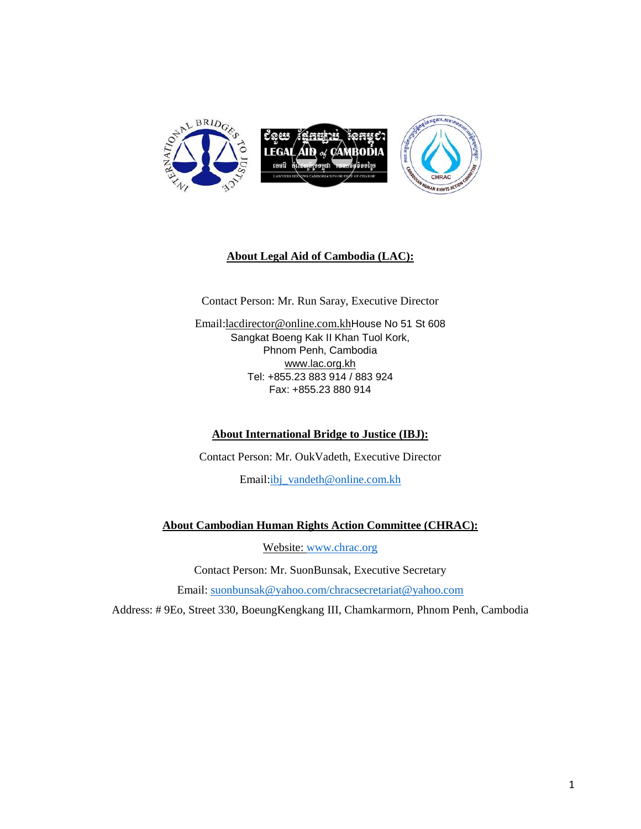

## **About Legal Aid of Cambodia (LAC):**

Contact Person: Mr. Run Saray, Executive Director

Email[:lacdirector@online.com.kh](mailto:lacdirector@online.com.kh)House No 51 St 608 Sangkat Boeng Kak II Khan Tuol Kork, Phnom Penh, Cambodia [www.lac.org.kh](http://www.lac.org.kh/) Tel: +855.23 883 914 / 883 924 Fax: +855.23 880 914

#### **About International Bridge to Justice (IBJ):**

Contact Person: Mr. OukVadeth, Executive Director

Email[:ibj\\_vandeth@online.com.kh](mailto:ibj_vandeth@online.com.kh)

#### **About Cambodian Human Rights Action Committee (CHRAC):**

Website: [www.chrac.org](http://www.chrac.org/)

Contact Person: Mr. SuonBunsak, Executive Secretary

Email: [suonbunsak@yahoo.com/chracsecretariat@yahoo.com](mailto:suonbunsak@yahoo.com/)

Address: # 9Eo, Street 330, BoeungKengkang III, Chamkarmorn, Phnom Penh, Cambodia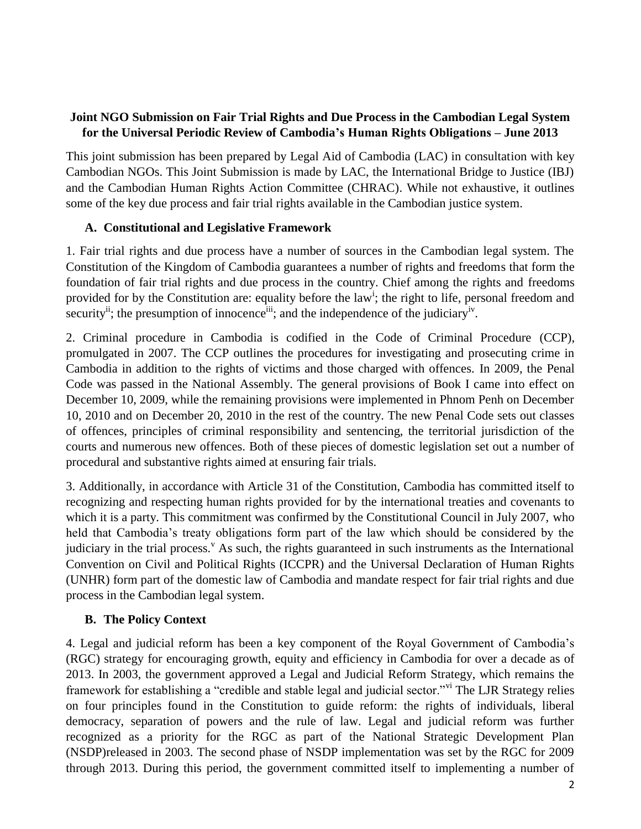#### **Joint NGO Submission on Fair Trial Rights and Due Process in the Cambodian Legal System for the Universal Periodic Review of Cambodia's Human Rights Obligations – June 2013**

This joint submission has been prepared by Legal Aid of Cambodia (LAC) in consultation with key Cambodian NGOs. This Joint Submission is made by LAC, the International Bridge to Justice (IBJ) and the Cambodian Human Rights Action Committee (CHRAC). While not exhaustive, it outlines some of the key due process and fair trial rights available in the Cambodian justice system.

## **A. Constitutional and Legislative Framework**

1. Fair trial rights and due process have a number of sources in the Cambodian legal system. The Constitution of the Kingdom of Cambodia guarantees a number of rights and freedoms that form the foundation of fair trial rights and due process in the country. Chief among the rights and freedoms provided for by the Constitution are: equality before the law<sup>i</sup>; the right to life, personal freedom and security<sup>ii</sup>; the presumption of innocence<sup>iii</sup>; and the independence of the judiciary<sup>iv</sup>.

2. Criminal procedure in Cambodia is codified in the Code of Criminal Procedure (CCP), promulgated in 2007. The CCP outlines the procedures for investigating and prosecuting crime in Cambodia in addition to the rights of victims and those charged with offences. In 2009, the Penal Code was passed in the National Assembly. The general provisions of Book I came into effect on December 10, 2009, while the remaining provisions were implemented in Phnom Penh on December 10, 2010 and on December 20, 2010 in the rest of the country. The new Penal Code sets out classes of offences, principles of criminal responsibility and sentencing, the territorial jurisdiction of the courts and numerous new offences. Both of these pieces of domestic legislation set out a number of procedural and substantive rights aimed at ensuring fair trials.

3. Additionally, in accordance with Article 31 of the Constitution, Cambodia has committed itself to recognizing and respecting human rights provided for by the international treaties and covenants to which it is a party. This commitment was confirmed by the Constitutional Council in July 2007, who held that Cambodia's treaty obligations form part of the law which should be considered by the judiciary in the trial process.<sup> $v$ </sup> As such, the rights guaranteed in such instruments as the International Convention on Civil and Political Rights (ICCPR) and the Universal Declaration of Human Rights (UNHR) form part of the domestic law of Cambodia and mandate respect for fair trial rights and due process in the Cambodian legal system.

# **B. The Policy Context**

4. Legal and judicial reform has been a key component of the Royal Government of Cambodia's (RGC) strategy for encouraging growth, equity and efficiency in Cambodia for over a decade as of 2013. In 2003, the government approved a Legal and Judicial Reform Strategy, which remains the framework for establishing a "credible and stable legal and judicial sector."<sup>vi</sup> The LJR Strategy relies on four principles found in the Constitution to guide reform: the rights of individuals, liberal democracy, separation of powers and the rule of law. Legal and judicial reform was further recognized as a priority for the RGC as part of the National Strategic Development Plan (NSDP)released in 2003. The second phase of NSDP implementation was set by the RGC for 2009 through 2013. During this period, the government committed itself to implementing a number of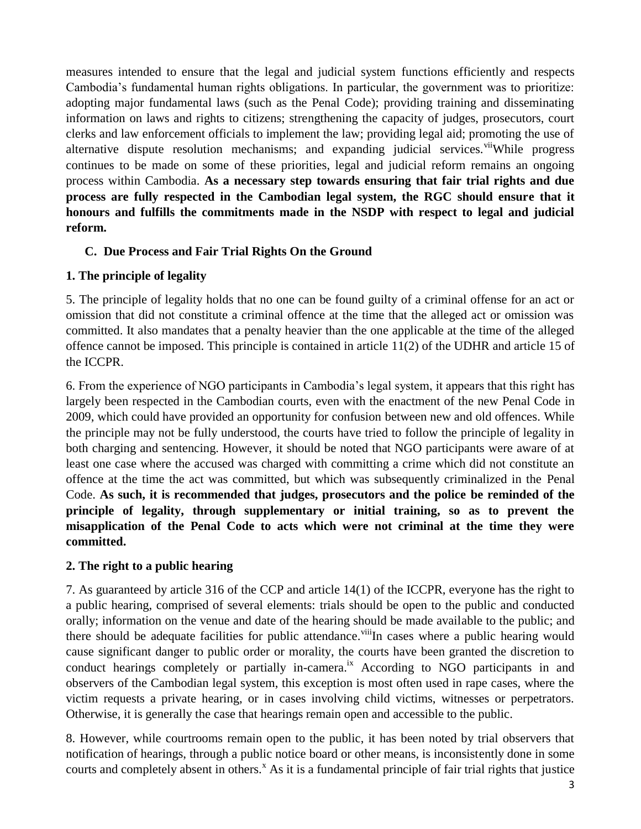measures intended to ensure that the legal and judicial system functions efficiently and respects Cambodia's fundamental human rights obligations. In particular, the government was to prioritize: adopting major fundamental laws (such as the Penal Code); providing training and disseminating information on laws and rights to citizens; strengthening the capacity of judges, prosecutors, court clerks and law enforcement officials to implement the law; providing legal aid; promoting the use of alternative dispute resolution mechanisms; and expanding judicial services.<sup>vii</sup>While progress continues to be made on some of these priorities, legal and judicial reform remains an ongoing process within Cambodia. **As a necessary step towards ensuring that fair trial rights and due process are fully respected in the Cambodian legal system, the RGC should ensure that it honours and fulfills the commitments made in the NSDP with respect to legal and judicial reform.**

# **C. Due Process and Fair Trial Rights On the Ground**

## **1. The principle of legality**

5. The principle of legality holds that no one can be found guilty of a criminal offense for an act or omission that did not constitute a criminal offence at the time that the alleged act or omission was committed. It also mandates that a penalty heavier than the one applicable at the time of the alleged offence cannot be imposed. This principle is contained in article 11(2) of the UDHR and article 15 of the ICCPR.

6. From the experience of NGO participants in Cambodia's legal system, it appears that this right has largely been respected in the Cambodian courts, even with the enactment of the new Penal Code in 2009, which could have provided an opportunity for confusion between new and old offences. While the principle may not be fully understood, the courts have tried to follow the principle of legality in both charging and sentencing. However, it should be noted that NGO participants were aware of at least one case where the accused was charged with committing a crime which did not constitute an offence at the time the act was committed, but which was subsequently criminalized in the Penal Code. **As such, it is recommended that judges, prosecutors and the police be reminded of the principle of legality, through supplementary or initial training, so as to prevent the misapplication of the Penal Code to acts which were not criminal at the time they were committed.**

#### **2. The right to a public hearing**

7. As guaranteed by article 316 of the CCP and article 14(1) of the ICCPR, everyone has the right to a public hearing, comprised of several elements: trials should be open to the public and conducted orally; information on the venue and date of the hearing should be made available to the public; and there should be adequate facilities for public attendance.<sup>viii</sup>In cases where a public hearing would cause significant danger to public order or morality, the courts have been granted the discretion to conduct hearings completely or partially in-camera.<sup>ix</sup> According to NGO participants in and observers of the Cambodian legal system, this exception is most often used in rape cases, where the victim requests a private hearing, or in cases involving child victims, witnesses or perpetrators. Otherwise, it is generally the case that hearings remain open and accessible to the public.

8. However, while courtrooms remain open to the public, it has been noted by trial observers that notification of hearings, through a public notice board or other means, is inconsistently done in some courts and completely absent in others.<sup>x</sup> As it is a fundamental principle of fair trial rights that justice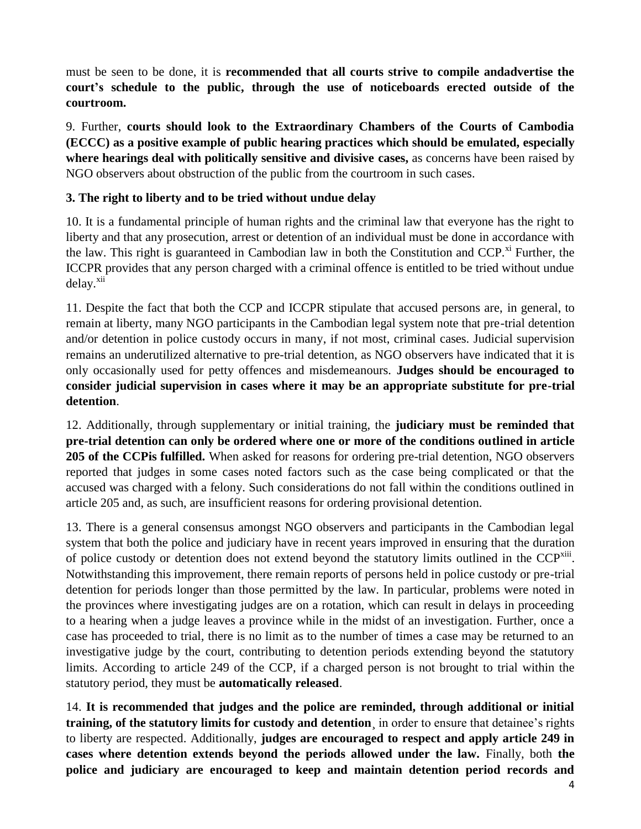must be seen to be done, it is **recommended that all courts strive to compile andadvertise the court's schedule to the public, through the use of noticeboards erected outside of the courtroom.**

9. Further, **courts should look to the Extraordinary Chambers of the Courts of Cambodia (ECCC) as a positive example of public hearing practices which should be emulated, especially where hearings deal with politically sensitive and divisive cases,** as concerns have been raised by NGO observers about obstruction of the public from the courtroom in such cases.

## **3. The right to liberty and to be tried without undue delay**

10. It is a fundamental principle of human rights and the criminal law that everyone has the right to liberty and that any prosecution, arrest or detention of an individual must be done in accordance with the law. This right is guaranteed in Cambodian law in both the Constitution and CCP.<sup>xi</sup> Further, the ICCPR provides that any person charged with a criminal offence is entitled to be tried without undue delay.<sup>xii</sup>

11. Despite the fact that both the CCP and ICCPR stipulate that accused persons are, in general, to remain at liberty, many NGO participants in the Cambodian legal system note that pre-trial detention and/or detention in police custody occurs in many, if not most, criminal cases. Judicial supervision remains an underutilized alternative to pre-trial detention, as NGO observers have indicated that it is only occasionally used for petty offences and misdemeanours. **Judges should be encouraged to consider judicial supervision in cases where it may be an appropriate substitute for pre-trial detention**.

12. Additionally, through supplementary or initial training, the **judiciary must be reminded that pre-trial detention can only be ordered where one or more of the conditions outlined in article 205 of the CCPis fulfilled.** When asked for reasons for ordering pre-trial detention, NGO observers reported that judges in some cases noted factors such as the case being complicated or that the accused was charged with a felony. Such considerations do not fall within the conditions outlined in article 205 and, as such, are insufficient reasons for ordering provisional detention.

13. There is a general consensus amongst NGO observers and participants in the Cambodian legal system that both the police and judiciary have in recent years improved in ensuring that the duration of police custody or detention does not extend beyond the statutory limits outlined in the CCP<sup>xiii</sup>. Notwithstanding this improvement, there remain reports of persons held in police custody or pre-trial detention for periods longer than those permitted by the law. In particular, problems were noted in the provinces where investigating judges are on a rotation, which can result in delays in proceeding to a hearing when a judge leaves a province while in the midst of an investigation. Further, once a case has proceeded to trial, there is no limit as to the number of times a case may be returned to an investigative judge by the court, contributing to detention periods extending beyond the statutory limits. According to article 249 of the CCP, if a charged person is not brought to trial within the statutory period, they must be **automatically released**.

14. **It is recommended that judges and the police are reminded, through additional or initial training, of the statutory limits for custody and detention**¸ in order to ensure that detainee's rights to liberty are respected. Additionally, **judges are encouraged to respect and apply article 249 in cases where detention extends beyond the periods allowed under the law.** Finally, both **the police and judiciary are encouraged to keep and maintain detention period records and**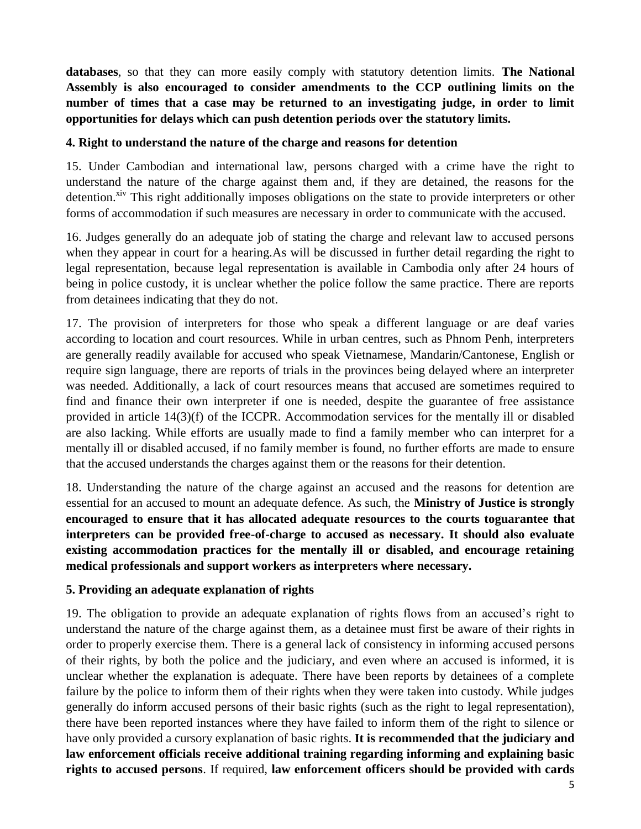**databases**, so that they can more easily comply with statutory detention limits. **The National Assembly is also encouraged to consider amendments to the CCP outlining limits on the number of times that a case may be returned to an investigating judge, in order to limit opportunities for delays which can push detention periods over the statutory limits.**

#### **4. Right to understand the nature of the charge and reasons for detention**

15. Under Cambodian and international law, persons charged with a crime have the right to understand the nature of the charge against them and, if they are detained, the reasons for the detention.<sup>xiv</sup> This right additionally imposes obligations on the state to provide interpreters or other forms of accommodation if such measures are necessary in order to communicate with the accused.

16. Judges generally do an adequate job of stating the charge and relevant law to accused persons when they appear in court for a hearing.As will be discussed in further detail regarding the right to legal representation, because legal representation is available in Cambodia only after 24 hours of being in police custody, it is unclear whether the police follow the same practice. There are reports from detainees indicating that they do not.

17. The provision of interpreters for those who speak a different language or are deaf varies according to location and court resources. While in urban centres, such as Phnom Penh, interpreters are generally readily available for accused who speak Vietnamese, Mandarin/Cantonese, English or require sign language, there are reports of trials in the provinces being delayed where an interpreter was needed. Additionally, a lack of court resources means that accused are sometimes required to find and finance their own interpreter if one is needed, despite the guarantee of free assistance provided in article 14(3)(f) of the ICCPR. Accommodation services for the mentally ill or disabled are also lacking. While efforts are usually made to find a family member who can interpret for a mentally ill or disabled accused, if no family member is found, no further efforts are made to ensure that the accused understands the charges against them or the reasons for their detention.

18. Understanding the nature of the charge against an accused and the reasons for detention are essential for an accused to mount an adequate defence. As such, the **Ministry of Justice is strongly encouraged to ensure that it has allocated adequate resources to the courts toguarantee that interpreters can be provided free-of-charge to accused as necessary. It should also evaluate existing accommodation practices for the mentally ill or disabled, and encourage retaining medical professionals and support workers as interpreters where necessary.**

#### **5. Providing an adequate explanation of rights**

19. The obligation to provide an adequate explanation of rights flows from an accused's right to understand the nature of the charge against them, as a detainee must first be aware of their rights in order to properly exercise them. There is a general lack of consistency in informing accused persons of their rights, by both the police and the judiciary, and even where an accused is informed, it is unclear whether the explanation is adequate. There have been reports by detainees of a complete failure by the police to inform them of their rights when they were taken into custody. While judges generally do inform accused persons of their basic rights (such as the right to legal representation), there have been reported instances where they have failed to inform them of the right to silence or have only provided a cursory explanation of basic rights. **It is recommended that the judiciary and law enforcement officials receive additional training regarding informing and explaining basic rights to accused persons**. If required, **law enforcement officers should be provided with cards**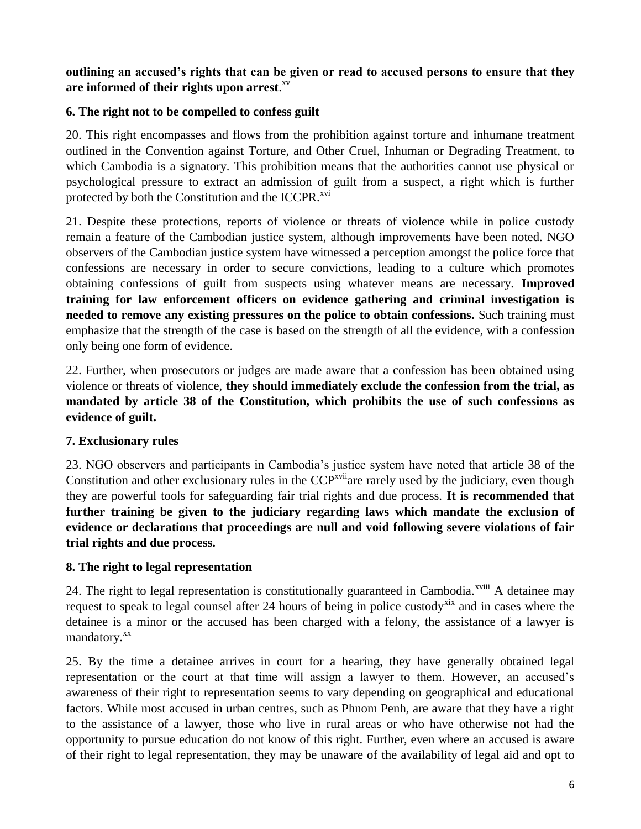#### **outlining an accused's rights that can be given or read to accused persons to ensure that they are informed of their rights upon arrest**. xv

#### **6. The right not to be compelled to confess guilt**

20. This right encompasses and flows from the prohibition against torture and inhumane treatment outlined in the Convention against Torture, and Other Cruel, Inhuman or Degrading Treatment, to which Cambodia is a signatory. This prohibition means that the authorities cannot use physical or psychological pressure to extract an admission of guilt from a suspect, a right which is further protected by both the Constitution and the ICCPR.<sup>xvi</sup>

21. Despite these protections, reports of violence or threats of violence while in police custody remain a feature of the Cambodian justice system, although improvements have been noted. NGO observers of the Cambodian justice system have witnessed a perception amongst the police force that confessions are necessary in order to secure convictions, leading to a culture which promotes obtaining confessions of guilt from suspects using whatever means are necessary. **Improved training for law enforcement officers on evidence gathering and criminal investigation is needed to remove any existing pressures on the police to obtain confessions.** Such training must emphasize that the strength of the case is based on the strength of all the evidence, with a confession only being one form of evidence.

22. Further, when prosecutors or judges are made aware that a confession has been obtained using violence or threats of violence, **they should immediately exclude the confession from the trial, as mandated by article 38 of the Constitution, which prohibits the use of such confessions as evidence of guilt.**

#### **7. Exclusionary rules**

23. NGO observers and participants in Cambodia's justice system have noted that article 38 of the Constitution and other exclusionary rules in the  $CCP<sup>xvii</sup>$  are rarely used by the judiciary, even though they are powerful tools for safeguarding fair trial rights and due process. **It is recommended that further training be given to the judiciary regarding laws which mandate the exclusion of evidence or declarations that proceedings are null and void following severe violations of fair trial rights and due process.**

#### **8. The right to legal representation**

24. The right to legal representation is constitutionally guaranteed in Cambodia.<sup>xviii</sup> A detainee may request to speak to legal counsel after 24 hours of being in police custody<sup>xix</sup> and in cases where the detainee is a minor or the accused has been charged with a felony, the assistance of a lawyer is mandatory.<sup>xx</sup>

25. By the time a detainee arrives in court for a hearing, they have generally obtained legal representation or the court at that time will assign a lawyer to them. However, an accused's awareness of their right to representation seems to vary depending on geographical and educational factors. While most accused in urban centres, such as Phnom Penh, are aware that they have a right to the assistance of a lawyer, those who live in rural areas or who have otherwise not had the opportunity to pursue education do not know of this right. Further, even where an accused is aware of their right to legal representation, they may be unaware of the availability of legal aid and opt to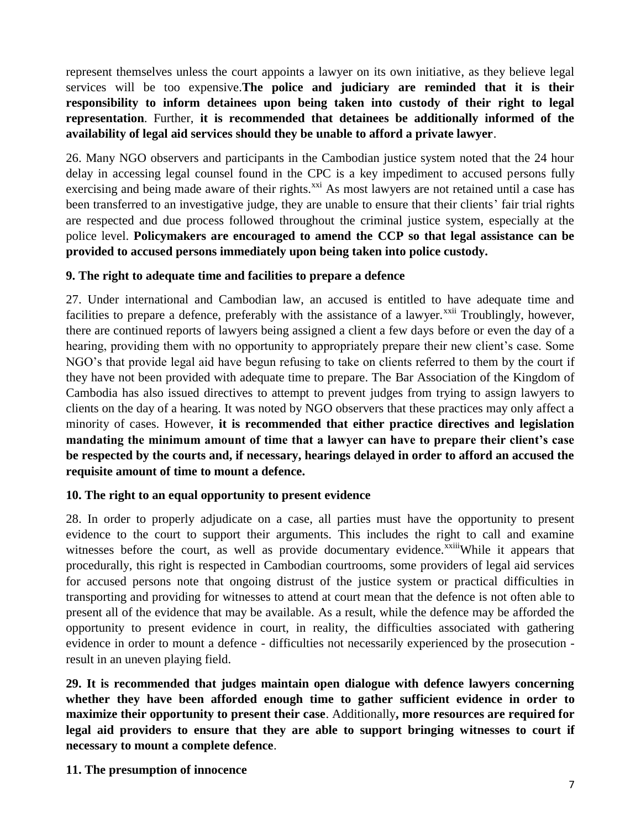represent themselves unless the court appoints a lawyer on its own initiative, as they believe legal services will be too expensive.**The police and judiciary are reminded that it is their responsibility to inform detainees upon being taken into custody of their right to legal representation**. Further, **it is recommended that detainees be additionally informed of the availability of legal aid services should they be unable to afford a private lawyer**.

26. Many NGO observers and participants in the Cambodian justice system noted that the 24 hour delay in accessing legal counsel found in the CPC is a key impediment to accused persons fully exercising and being made aware of their rights.<sup>xxi</sup> As most lawyers are not retained until a case has been transferred to an investigative judge, they are unable to ensure that their clients' fair trial rights are respected and due process followed throughout the criminal justice system, especially at the police level. **Policymakers are encouraged to amend the CCP so that legal assistance can be provided to accused persons immediately upon being taken into police custody.**

#### **9. The right to adequate time and facilities to prepare a defence**

27. Under international and Cambodian law, an accused is entitled to have adequate time and facilities to prepare a defence, preferably with the assistance of a lawyer.<sup>xxii</sup> Troublingly, however, there are continued reports of lawyers being assigned a client a few days before or even the day of a hearing, providing them with no opportunity to appropriately prepare their new client's case. Some NGO's that provide legal aid have begun refusing to take on clients referred to them by the court if they have not been provided with adequate time to prepare. The Bar Association of the Kingdom of Cambodia has also issued directives to attempt to prevent judges from trying to assign lawyers to clients on the day of a hearing. It was noted by NGO observers that these practices may only affect a minority of cases. However, **it is recommended that either practice directives and legislation mandating the minimum amount of time that a lawyer can have to prepare their client's case be respected by the courts and, if necessary, hearings delayed in order to afford an accused the requisite amount of time to mount a defence.**

# **10. The right to an equal opportunity to present evidence**

28. In order to properly adjudicate on a case, all parties must have the opportunity to present evidence to the court to support their arguments. This includes the right to call and examine witnesses before the court, as well as provide documentary evidence.<sup>xxiii</sup>While it appears that procedurally, this right is respected in Cambodian courtrooms, some providers of legal aid services for accused persons note that ongoing distrust of the justice system or practical difficulties in transporting and providing for witnesses to attend at court mean that the defence is not often able to present all of the evidence that may be available. As a result, while the defence may be afforded the opportunity to present evidence in court, in reality, the difficulties associated with gathering evidence in order to mount a defence - difficulties not necessarily experienced by the prosecution result in an uneven playing field.

**29. It is recommended that judges maintain open dialogue with defence lawyers concerning whether they have been afforded enough time to gather sufficient evidence in order to maximize their opportunity to present their case**. Additionally**, more resources are required for legal aid providers to ensure that they are able to support bringing witnesses to court if necessary to mount a complete defence**.

#### **11. The presumption of innocence**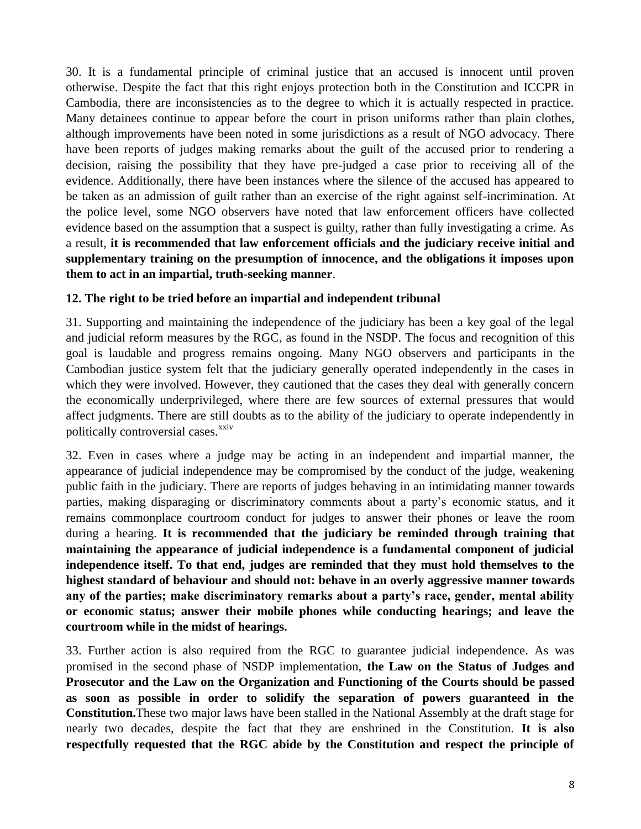30. It is a fundamental principle of criminal justice that an accused is innocent until proven otherwise. Despite the fact that this right enjoys protection both in the Constitution and ICCPR in Cambodia, there are inconsistencies as to the degree to which it is actually respected in practice. Many detainees continue to appear before the court in prison uniforms rather than plain clothes, although improvements have been noted in some jurisdictions as a result of NGO advocacy. There have been reports of judges making remarks about the guilt of the accused prior to rendering a decision, raising the possibility that they have pre-judged a case prior to receiving all of the evidence. Additionally, there have been instances where the silence of the accused has appeared to be taken as an admission of guilt rather than an exercise of the right against self-incrimination. At the police level, some NGO observers have noted that law enforcement officers have collected evidence based on the assumption that a suspect is guilty, rather than fully investigating a crime. As a result, **it is recommended that law enforcement officials and the judiciary receive initial and supplementary training on the presumption of innocence, and the obligations it imposes upon them to act in an impartial, truth-seeking manner**.

#### **12. The right to be tried before an impartial and independent tribunal**

31. Supporting and maintaining the independence of the judiciary has been a key goal of the legal and judicial reform measures by the RGC, as found in the NSDP. The focus and recognition of this goal is laudable and progress remains ongoing. Many NGO observers and participants in the Cambodian justice system felt that the judiciary generally operated independently in the cases in which they were involved. However, they cautioned that the cases they deal with generally concern the economically underprivileged, where there are few sources of external pressures that would affect judgments. There are still doubts as to the ability of the judiciary to operate independently in politically controversial cases.<sup>xxiv</sup>

32. Even in cases where a judge may be acting in an independent and impartial manner, the appearance of judicial independence may be compromised by the conduct of the judge, weakening public faith in the judiciary. There are reports of judges behaving in an intimidating manner towards parties, making disparaging or discriminatory comments about a party's economic status, and it remains commonplace courtroom conduct for judges to answer their phones or leave the room during a hearing. **It is recommended that the judiciary be reminded through training that maintaining the appearance of judicial independence is a fundamental component of judicial independence itself. To that end, judges are reminded that they must hold themselves to the highest standard of behaviour and should not: behave in an overly aggressive manner towards any of the parties; make discriminatory remarks about a party's race, gender, mental ability or economic status; answer their mobile phones while conducting hearings; and leave the courtroom while in the midst of hearings.**

33. Further action is also required from the RGC to guarantee judicial independence. As was promised in the second phase of NSDP implementation, **the Law on the Status of Judges and Prosecutor and the Law on the Organization and Functioning of the Courts should be passed as soon as possible in order to solidify the separation of powers guaranteed in the Constitution.**These two major laws have been stalled in the National Assembly at the draft stage for nearly two decades, despite the fact that they are enshrined in the Constitution. **It is also respectfully requested that the RGC abide by the Constitution and respect the principle of**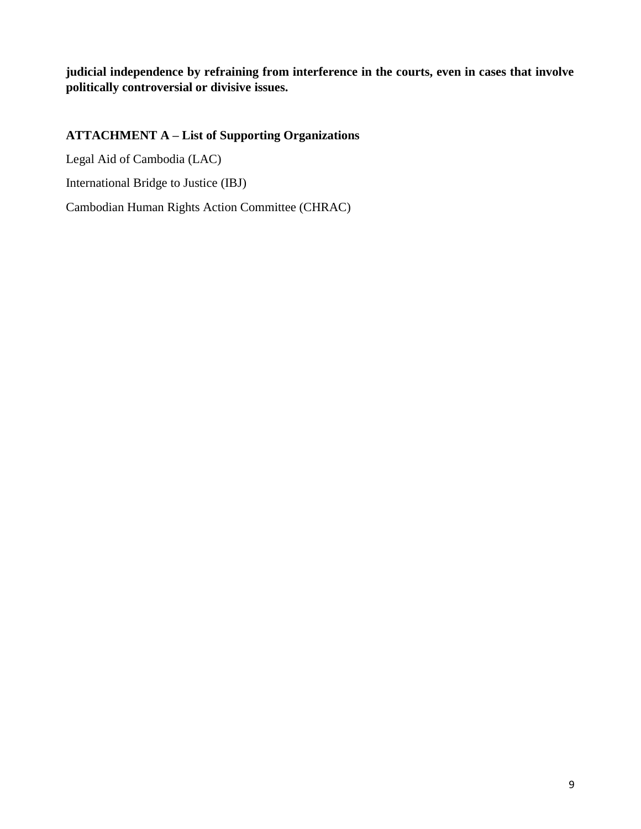**judicial independence by refraining from interference in the courts, even in cases that involve politically controversial or divisive issues.**

# **ATTACHMENT A – List of Supporting Organizations**

Legal Aid of Cambodia (LAC)

International Bridge to Justice (IBJ)

Cambodian Human Rights Action Committee (CHRAC)